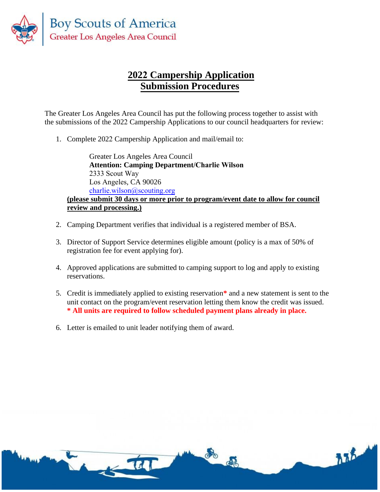

## **2022 Campership Application Submission Procedures**

The Greater Los Angeles Area Council has put the following process together to assist with the submissions of the 2022 Campership Applications to our council headquarters for review:

1. Complete 2022 Campership Application and mail/email to:

Greater Los Angeles Area Council **Attention: Camping Department/Charlie Wilson** 2333 Scout Way Los Angeles, CA 90026 charlie.wilson[@scouting.org](mailto:danette.verdugo@scouting.org) **(please submit 30 days or more prior to program/event date to allow for council review and processing.)**

- 2. Camping Department verifies that individual is a registered member of BSA.
- 3. Director of Support Service determines eligible amount (policy is a max of 50% of registration fee for event applying for).
- 4. Approved applications are submitted to camping support to log and apply to existing reservations.
- 5. Credit is immediately applied to existing reservation**\*** and a new statement is sent to the unit contact on the program/event reservation letting them know the credit was issued. **\* All units are required to follow scheduled payment plans already in place.**
- 6. Letter is emailed to unit leader notifying them of award.

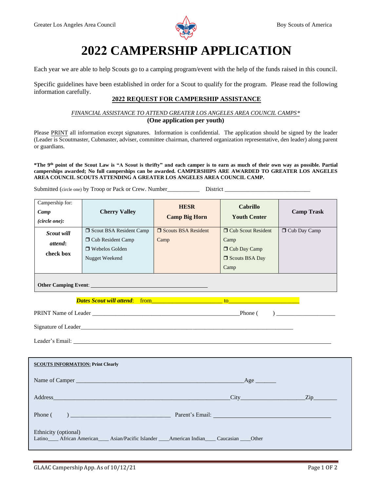

# **2022 CAMPERSHIP APPLICATION**

Each year we are able to help Scouts go to a camping program/event with the help of the funds raised in this council.

Specific guidelines have been established in order for a Scout to qualify for the program. Please read the following information carefully.

### **2022 REQUEST FOR CAMPERSHIP ASSISTANCE**

#### *FINANCIAL ASSISTANCE TO ATTEND GREATER LOS ANGELES AREA COUNCIL CAMPS\** **(One application per youth)**

Please PRINT all information except signatures. Information is confidential. The application should be signed by the leader (Leader is Scoutmaster, Cubmaster, adviser, committee chairman, chartered organization representative, den leader) along parent or guardians.

\*The 9<sup>th</sup> point of the Scout Law is "A Scout is thrifty" and each camper is to earn as much of their own way as possible. Partial **camperships awarded; No full camperships can be awarded. CAMPERSHIPS ARE AWARDED TO GREATER LOS ANGELES AREA COUNCIL SCOUTS ATTENDING A GREATER LOS ANGELES AREA COUNCIL CAMP.**

Submitted (circle one) by Troop or Pack or Crew. Number\_\_\_\_\_\_\_\_\_\_\_\_\_\_\_\_\_\_\_\_\_\_\_\_\_ District

| Campership for:<br>Camp<br>(circle one): | <b>Cherry Valley</b>                                                                                                                                                                                                                                                                                                              | <b>HESR</b><br><b>Camp Big Horn</b> | <b>Cabrillo</b><br><b>Youth Center</b>                                            | <b>Camp Trask</b> |  |  |
|------------------------------------------|-----------------------------------------------------------------------------------------------------------------------------------------------------------------------------------------------------------------------------------------------------------------------------------------------------------------------------------|-------------------------------------|-----------------------------------------------------------------------------------|-------------------|--|--|
| Scout will<br>attend:<br>check box       | Scout BSA Resident Camp<br><b>D</b> Cub Resident Camp<br>$\Box$ Webelos Golden<br>Nugget Weekend                                                                                                                                                                                                                                  | Scouts BSA Resident<br>Camp         | <b>O</b> Cub Scout Resident<br>Camp<br>□ Cub Day Camp<br>□ Scouts BSA Day<br>Camp | Cub Day Camp      |  |  |
|                                          |                                                                                                                                                                                                                                                                                                                                   |                                     |                                                                                   |                   |  |  |
|                                          | <b>Dates Scout will attend:</b> from <b>the contract of the contract of the contract of the contract of the contract of the contract of the contract of the contract of the contract of the contract of the contract of the contract </b><br>Signature of Leader<br><u>Signature of Leader</u><br>Leader's Email: Leader's Email: |                                     |                                                                                   |                   |  |  |
| <b>SCOUTS INFORMATION: Print Clearly</b> |                                                                                                                                                                                                                                                                                                                                   |                                     |                                                                                   |                   |  |  |
| Phone (                                  | $\sum_{n=1}^{\infty}$ Parent's Email:                                                                                                                                                                                                                                                                                             |                                     |                                                                                   |                   |  |  |
| Ethnicity (optional)                     | Latino ______ African American _______ Asian/Pacific Islander ______American Indian ______ Caucasian _____ Other                                                                                                                                                                                                                  |                                     |                                                                                   |                   |  |  |